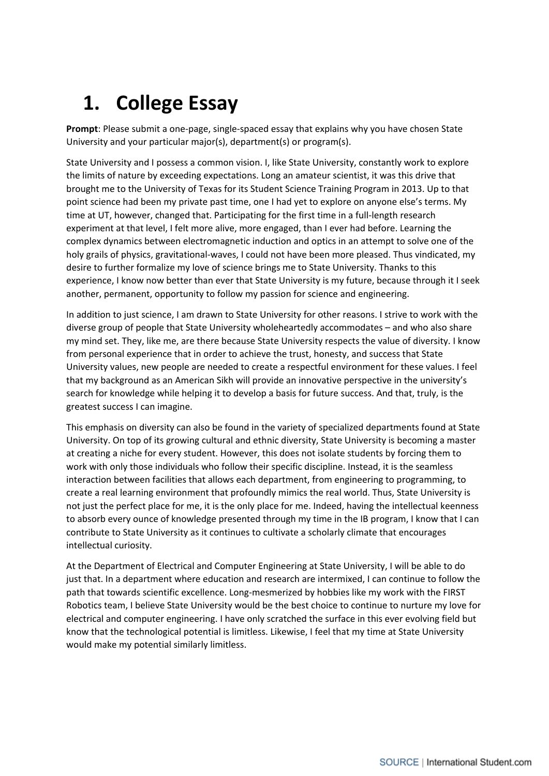## **1. College Essay**

**Prompt**: Please submit a one-page, single-spaced essay that explains why you have chosen State University and your particular major(s), department(s) or program(s).

State University and I possess a common vision. I, like State University, constantly work to explore the limits of nature by exceeding expectations. Long an amateur scientist, it was this drive that brought me to the University of Texas for its Student Science Training Program in 2013. Up to that point science had been my private past time, one I had yet to explore on anyone else's terms. My time at UT, however, changed that. Participating for the first time in a full-length research experiment at that level, I felt more alive, more engaged, than I ever had before. Learning the complex dynamics between electromagnetic induction and optics in an attempt to solve one of the holy grails of physics, gravitational-waves, I could not have been more pleased. Thus vindicated, my desire to further formalize my love of science brings me to State University. Thanks to this experience, I know now better than ever that State University is my future, because through it I seek another, permanent, opportunity to follow my passion for science and engineering.

In addition to just science, I am drawn to State University for other reasons. I strive to work with the diverse group of people that State University wholeheartedly accommodates – and who also share my mind set. They, like me, are there because State University respects the value of diversity. I know from personal experience that in order to achieve the trust, honesty, and success that State University values, new people are needed to create a respectful environment for these values. I feel that my background as an American Sikh will provide an innovative perspective in the university's search for knowledge while helping it to develop a basis for future success. And that, truly, is the greatest success I can imagine.

This emphasis on diversity can also be found in the variety of specialized departments found at State University. On top of its growing cultural and ethnic diversity, State University is becoming a master at creating a niche for every student. However, this does not isolate students by forcing them to work with only those individuals who follow their specific discipline. Instead, it is the seamless interaction between facilities that allows each department, from engineering to programming, to create a real learning environment that profoundly mimics the real world. Thus, State University is not just the perfect place for me, it is the only place for me. Indeed, having the intellectual keenness to absorb every ounce of knowledge presented through my time in the IB program, I know that I can contribute to State University as it continues to cultivate a scholarly climate that encourages intellectual curiosity.

At the Department of Electrical and Computer Engineering at State University, I will be able to do just that. In a department where education and research are intermixed, I can continue to follow the path that towards scientific excellence. Long-mesmerized by hobbies like my work with the FIRST Robotics team, I believe State University would be the best choice to continue to nurture my love for electrical and computer engineering. I have only scratched the surface in this ever evolving field but know that the technological potential is limitless. Likewise, I feel that my time at State University would make my potential similarly limitless.